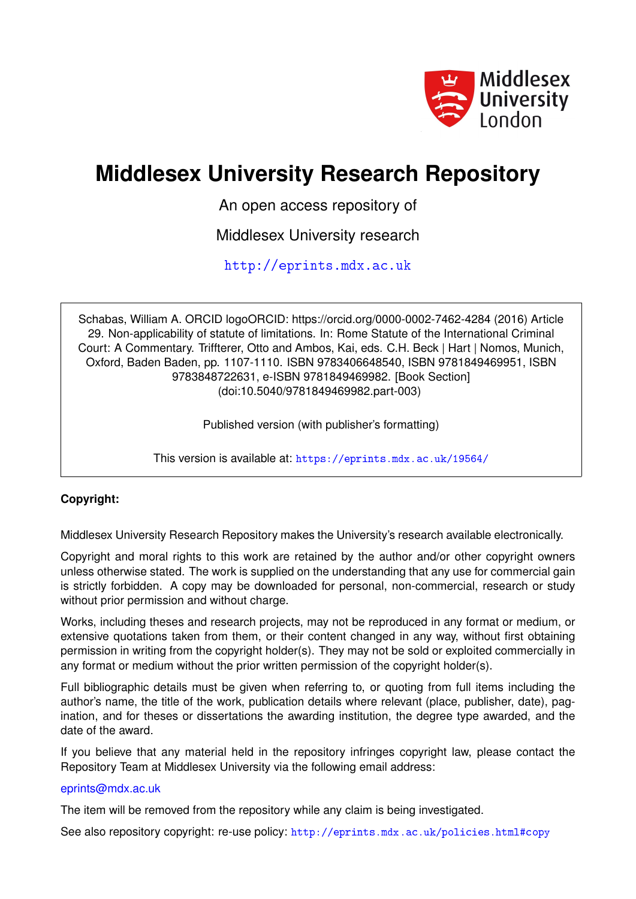

# **Middlesex University Research Repository**

An open access repository of

Middlesex University research

<http://eprints.mdx.ac.uk>

Schabas, William A. ORCID logoORCID: https://orcid.org/0000-0002-7462-4284 (2016) Article 29. Non-applicability of statute of limitations. In: Rome Statute of the International Criminal Court: A Commentary. Triffterer, Otto and Ambos, Kai, eds. C.H. Beck | Hart | Nomos, Munich, Oxford, Baden Baden, pp. 1107-1110. ISBN 9783406648540, ISBN 9781849469951, ISBN 9783848722631, e-ISBN 9781849469982. [Book Section] (doi:10.5040/9781849469982.part-003)

Published version (with publisher's formatting)

This version is available at: <https://eprints.mdx.ac.uk/19564/>

# **Copyright:**

Middlesex University Research Repository makes the University's research available electronically.

Copyright and moral rights to this work are retained by the author and/or other copyright owners unless otherwise stated. The work is supplied on the understanding that any use for commercial gain is strictly forbidden. A copy may be downloaded for personal, non-commercial, research or study without prior permission and without charge.

Works, including theses and research projects, may not be reproduced in any format or medium, or extensive quotations taken from them, or their content changed in any way, without first obtaining permission in writing from the copyright holder(s). They may not be sold or exploited commercially in any format or medium without the prior written permission of the copyright holder(s).

Full bibliographic details must be given when referring to, or quoting from full items including the author's name, the title of the work, publication details where relevant (place, publisher, date), pagination, and for theses or dissertations the awarding institution, the degree type awarded, and the date of the award.

If you believe that any material held in the repository infringes copyright law, please contact the Repository Team at Middlesex University via the following email address:

# [eprints@mdx.ac.uk](mailto:eprints@mdx.ac.uk)

The item will be removed from the repository while any claim is being investigated.

See also repository copyright: re-use policy: <http://eprints.mdx.ac.uk/policies.html#copy>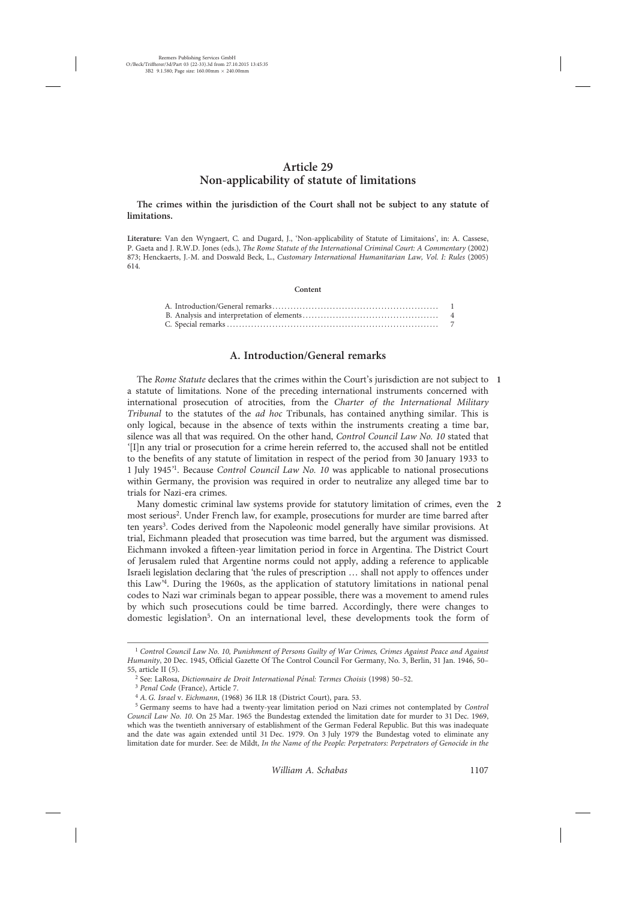## Article 29 Non-applicability of statute of limitations

The crimes within the jurisdiction of the Court shall not be subject to any statute of limitations.

Literature: Van den Wyngaert, C. and Dugard, J., 'Non-applicability of Statute of Limitaions', in: A. Cassese, P. Gaeta and J. R.W.D. Jones (eds.), The Rome Statute of the International Criminal Court: A Commentary (2002) 873; Henckaerts, J.-M. and Doswald Beck, L., Customary International Humanitarian Law, Vol. I: Rules (2005) 614.

#### Content

#### A. Introduction/General remarks

The Rome Statute declares that the crimes within the Court's jurisdiction are not subject to 1 a statute of limitations. None of the preceding international instruments concerned with international prosecution of atrocities, from the Charter of the International Military Tribunal to the statutes of the ad hoc Tribunals, has contained anything similar. This is only logical, because in the absence of texts within the instruments creating a time bar, silence was all that was required. On the other hand, Control Council Law No. 10 stated that '[I]n any trial or prosecution for a crime herein referred to, the accused shall not be entitled to the benefits of any statute of limitation in respect of the period from 30 January 1933 to 1 July 1945<sup>'1</sup>. Because Control Council Law No. 10 was applicable to national prosecutions within Germany, the provision was required in order to neutralize any alleged time bar to trials for Nazi-era crimes.

Many domestic criminal law systems provide for statutory limitation of crimes, even the 2 most serious<sup>2</sup>. Under French law, for example, prosecutions for murder are time barred after ten years3. Codes derived from the Napoleonic model generally have similar provisions. At trial, Eichmann pleaded that prosecution was time barred, but the argument was dismissed. Eichmann invoked a fifteen-year limitation period in force in Argentina. The District Court of Jerusalem ruled that Argentine norms could not apply, adding a reference to applicable Israeli legislation declaring that 'the rules of prescription … shall not apply to offences under this Law' 4. During the 1960s, as the application of statutory limitations in national penal codes to Nazi war criminals began to appear possible, there was a movement to amend rules by which such prosecutions could be time barred. Accordingly, there were changes to domestic legislation<sup>5</sup>. On an international level, these developments took the form of

<sup>&</sup>lt;sup>1</sup> Control Council Law No. 10, Punishment of Persons Guilty of War Crimes, Crimes Against Peace and Against Humanity, 20 Dec. 1945, Official Gazette Of The Control Council For Germany, No. 3, Berlin, 31 Jan. 1946, 50– 55, article II (5).

<sup>&</sup>lt;sup>2</sup> See: LaRosa, Dictionnaire de Droit International Pénal: Termes Choisis (1998) 50-52.

<sup>3</sup> Penal Code (France), Article 7.

<sup>4</sup> A. G. Israel v. Eichmann, (1968) 36 ILR 18 (District Court), para. 53.

<sup>5</sup> Germany seems to have had a twenty-year limitation period on Nazi crimes not contemplated by Control Council Law No. 10. On 25 Mar. 1965 the Bundestag extended the limitation date for murder to 31 Dec. 1969, which was the twentieth anniversary of establishment of the German Federal Republic. But this was inadequate and the date was again extended until 31 Dec. 1979. On 3 July 1979 the Bundestag voted to eliminate any limitation date for murder. See: de Mildt, In the Name of the People: Perpetrators: Perpetrators of Genocide in the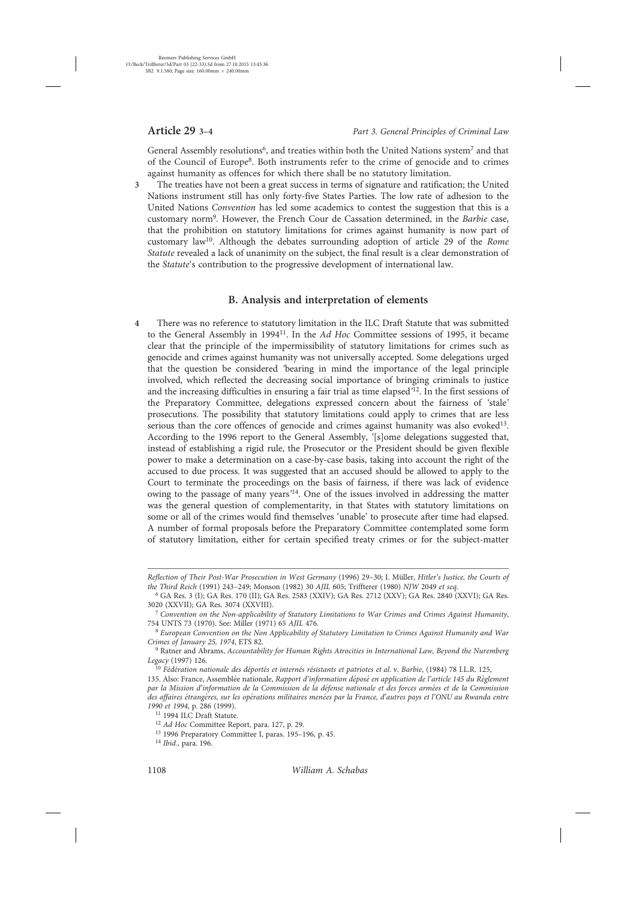Article 29 3-4 Part 3. General Principles of Criminal Law

General Assembly resolutions<sup>6</sup>, and treaties within both the United Nations system<sup>7</sup> and that of the Council of Europe8. Both instruments refer to the crime of genocide and to crimes against humanity as offences for which there shall be no statutory limitation.

3 The treaties have not been a great success in terms of signature and ratification; the United Nations instrument still has only forty-five States Parties. The low rate of adhesion to the United Nations Convention has led some academics to contest the suggestion that this is a customary norm9. However, the French Cour de Cassation determined, in the Barbie case, that the prohibition on statutory limitations for crimes against humanity is now part of customary law10. Although the debates surrounding adoption of article 29 of the Rome Statute revealed a lack of unanimity on the subject, the final result is a clear demonstration of the Statute's contribution to the progressive development of international law.

### B. Analysis and interpretation of elements

4 There was no reference to statutory limitation in the ILC Draft Statute that was submitted to the General Assembly in 1994<sup>11</sup>. In the Ad Hoc Committee sessions of 1995, it became clear that the principle of the impermissibility of statutory limitations for crimes such as genocide and crimes against humanity was not universally accepted. Some delegations urged that the question be considered 'bearing in mind the importance of the legal principle involved, which reflected the decreasing social importance of bringing criminals to justice and the increasing difficulties in ensuring a fair trial as time elapsed<sup>'12</sup>. In the first sessions of the Preparatory Committee, delegations expressed concern about the fairness of 'stale' prosecutions. The possibility that statutory limitations could apply to crimes that are less serious than the core offences of genocide and crimes against humanity was also evoked<sup>13</sup>. According to the 1996 report to the General Assembly, '[s]ome delegations suggested that, instead of establishing a rigid rule, the Prosecutor or the President should be given flexible power to make a determination on a case-by-case basis, taking into account the right of the accused to due process. It was suggested that an accused should be allowed to apply to the Court to terminate the proceedings on the basis of fairness, if there was lack of evidence owing to the passage of many years<sup>214</sup>. One of the issues involved in addressing the matter was the general question of complementarity, in that States with statutory limitations on some or all of the crimes would find themselves 'unable' to prosecute after time had elapsed. A number of formal proposals before the Preparatory Committee contemplated some form of statutory limitation, either for certain specified treaty crimes or for the subject-matter

<sup>14</sup> Ibid., para. 196.

Reflection of Their Post-War Prosecution in West Germany (1996) 29-30; I. Müller, Hitler's Justice, the Courts of the Third Reich (1991) 243–249; Monson (1982) 30 AJIL 605; Triffterer (1980) NJW 2049 et seq.

<sup>6</sup> GA Res. 3 (I); GA Res. 170 (II); GA Res. 2583 (XXIV); GA Res. 2712 (XXV); GA Res. 2840 (XXVI); GA Res. 3020 (XXVII); GA Res. 3074 (XXVIII).

<sup>7</sup> Convention on the Non-applicability of Statutory Limitations to War Crimes and Crimes Against Humanity, 754 UNTS 73 (1970). See: Miller (1971) 65 AJIL 476.

<sup>8</sup> European Convention on the Non Applicability of Statutory Limitation to Crimes Against Humanity and War Crimes of January 25, 1974, ETS 82.

<sup>&</sup>lt;sup>9</sup> Ratner and Abrams, Accountability for Human Rights Atrocities in International Law, Beyond the Nuremberg Legacy (1997) 126.

 $^{10}$  Fédération nationale des déportés et internés résistants et patriotes et al. v. Barbie, (1984) 78 I.L.R. 125,

<sup>135.</sup> Also: France, Assemblée nationale, Rapport d'information déposé en application de l'article 145 du Règlement par la Mission d'information de la Commission de la défense nationale et des forces armées et de la Commission des affaires étrangères, sur les opérations militaires menées par la France, d'autres pays et l'ONU au Rwanda entre 1990 et 1994, p. 286 (1999).

<sup>&</sup>lt;sup>11</sup> 1994 ILC Draft Statute.

<sup>12</sup> Ad Hoc Committee Report, para. 127, p. 29.

<sup>13</sup> 1996 Preparatory Committee I, paras. 195–196, p. 45.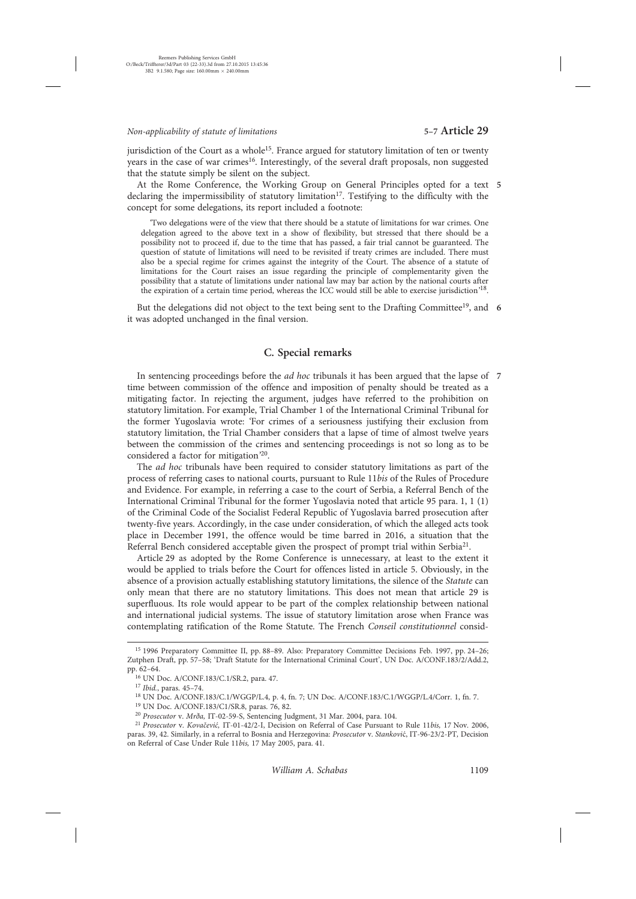#### Non-applicability of statute of limitations 5-7 Article 29

jurisdiction of the Court as a whole<sup>15</sup>. France argued for statutory limitation of ten or twenty  $\gamma$  vears in the case of war crimes<sup>16</sup>. Interestingly, of the several draft proposals, non suggested that the statute simply be silent on the subject.

At the Rome Conference, the Working Group on General Principles opted for a text 5 declaring the impermissibility of statutory limitation<sup>17</sup>. Testifying to the difficulty with the concept for some delegations, its report included a footnote:

'Two delegations were of the view that there should be a statute of limitations for war crimes. One delegation agreed to the above text in a show of flexibility, but stressed that there should be a possibility not to proceed if, due to the time that has passed, a fair trial cannot be guaranteed. The question of statute of limitations will need to be revisited if treaty crimes are included. There must also be a special regime for crimes against the integrity of the Court. The absence of a statute of limitations for the Court raises an issue regarding the principle of complementarity given the possibility that a statute of limitations under national law may bar action by the national courts after the expiration of a certain time period, whereas the ICC would still be able to exercise jurisdiction' 18.

But the delegations did not object to the text being sent to the Drafting Committee<sup>19</sup>, and 6 it was adopted unchanged in the final version.

#### C. Special remarks

In sentencing proceedings before the *ad hoc* tribunals it has been argued that the lapse of 7 time between commission of the offence and imposition of penalty should be treated as a mitigating factor. In rejecting the argument, judges have referred to the prohibition on statutory limitation. For example, Trial Chamber 1 of the International Criminal Tribunal for the former Yugoslavia wrote: 'For crimes of a seriousness justifying their exclusion from statutory limitation, the Trial Chamber considers that a lapse of time of almost twelve years between the commission of the crimes and sentencing proceedings is not so long as to be considered a factor for mitigation' 20.

The ad hoc tribunals have been required to consider statutory limitations as part of the process of referring cases to national courts, pursuant to Rule 11bis of the Rules of Procedure and Evidence. For example, in referring a case to the court of Serbia, a Referral Bench of the International Criminal Tribunal for the former Yugoslavia noted that article 95 para. 1, 1 (1) of the Criminal Code of the Socialist Federal Republic of Yugoslavia barred prosecution after twenty-five years. Accordingly, in the case under consideration, of which the alleged acts took place in December 1991, the offence would be time barred in 2016, a situation that the Referral Bench considered acceptable given the prospect of prompt trial within Serbia<sup>21</sup>.

Article 29 as adopted by the Rome Conference is unnecessary, at least to the extent it would be applied to trials before the Court for offences listed in article 5. Obviously, in the absence of a provision actually establishing statutory limitations, the silence of the Statute can only mean that there are no statutory limitations. This does not mean that article 29 is superfluous. Its role would appear to be part of the complex relationship between national and international judicial systems. The issue of statutory limitation arose when France was contemplating ratification of the Rome Statute. The French Conseil constitutionnel consid-

<sup>15</sup> 1996 Preparatory Committee II, pp. 88–89. Also: Preparatory Committee Decisions Feb. 1997, pp. 24–26; Zutphen Draft, pp. 57–58; 'Draft Statute for the International Criminal Court', UN Doc. A/CONF.183/2/Add.2, pp. 62–64.

<sup>16</sup> UN Doc. A/CONF.183/C.1/SR.2, para. 47.

<sup>17</sup> Ibid., paras. 45–74.

<sup>18</sup> UN Doc. A/CONF.183/C.1/WGGP/L.4, p. 4, fn. 7; UN Doc. A/CONF.183/C.1/WGGP/L.4/Corr. 1, fn. 7.

<sup>19</sup> UN Doc. A/CONF.183/C1/SR.8, paras. 76, 82.

<sup>20</sup> Prosecutor v. Mrða, IT-02-59-S, Sentencing Judgment, 31 Mar. 2004, para. 104.

<sup>&</sup>lt;sup>21</sup> Prosecutor v. Kovačević, IT-01-42/2-I, Decision on Referral of Case Pursuant to Rule 11bis, 17 Nov. 2006, paras. 39, 42. Similarly, in a referral to Bosnia and Herzegovina: Prosecutor v. Stanković, IT-96-23/2-PT, Decision on Referral of Case Under Rule 11bis, 17 May 2005, para. 41.